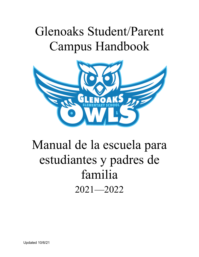# Glenoaks Student/Parent Campus Handbook



## Manual de la escuela para estudiantes y padres de familia 2021—2022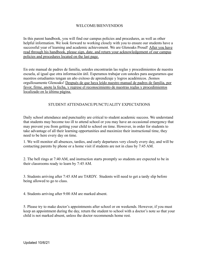#### WELCOME/BIENVENIDOS

In this parent handbook, you will find our campus policies and procedures, as well as other helpful information. We look forward to working closely with you to ensure our students have a successful year of learning and academic achievement. We are Glenoaks Proud! After you have read through his handbook, please sign, date, and return your acknowledgement of our campus policies and procedures located on the last page.

En este manual de padres de familia, ustedes encontrarán las reglas y procedimientos de nuestra escuela, al igual que otra información útil. Esperamos trabajar con ustedes para asegurarnos que nuestros estudiantes tengan un año exitoso de aprendizaje y logros académicos. ¡Somos orgullosamente Glenoaks! Después de que haya leído nuestro manual de padres de familia, por favor, firme, anote la fecha, y regrese el reconocimiento de nuestras reglas y procedimientos localizado en la última página.

## STUDENT ATTENDANCE/PUNCTUALITY EXPECTATIONS

Daily school attendance and punctuality are critical to student academic success. We understand that students may become too ill to attend school or you may have an occasional emergency that may prevent you from getting your child to school on time. However, in order for students to take advantage of all their learning opportunities and maximize their instructional time, they need to be here every day on time.

1. We will monitor all absences, tardies, and early departures very closely every day, and will be contacting parents by phone or a home visit if students are not in class by 7:45 AM.

2. The bell rings at 7:40 AM, and instruction starts promptly so students are expected to be in their classrooms ready to learn by 7:45 AM.

3. Students arriving after 7:45 AM are TARDY. Students will need to get a tardy slip before being allowed to go to class.

4. Students arriving after 9:00 AM are marked absent.

5. Please try to make doctor's appointments after school or on weekends. However, if you must keep an appointment during the day, return the student to school with a doctor's note so that your child is not marked absent, unless the doctor recommends home rest.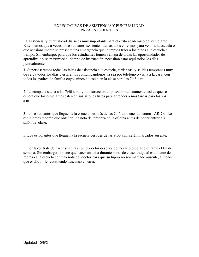#### EXPECTATIVAS DE ASISTENCIA Y PUNTUALIDAD PARA ESTUDIANTES

La asistencia y puntualidad diaria es muy importante para el éxito académico del estudiante. Entendemos que a veces los estudiantes se sienten demasiados enfermos para venir a la escuela o que ocasionalmente se presente una emergencia que le impida traer a los niños a la escuela a tiempo. Sin embargo, para que los estudiantes tomen ventaja de todas las oportunidades de aprendizaje y se maximice el tiempo de instrucción, necesitan estar aquí todos los días puntualmente.

1. Supervisaremos todas las faltas de asistencia a la escuela, tardanzas, y salidas tempranas muy de cerca todos los días y estaremos comunicándonos ya sea por teléfono o visita a la casa, con todos los padres de familia cuyos niños no estén en la clase para las 7:45 a.m.

2. La campana suena a las 7:40 a.m., y la instrucción empieza inmediatamente, así es que se espera que los estudiantes estén en sus salones listos para aprender a más tardar para las 7:45 a.m.

3. Los estudiantes que lleguen a la escuela después de las 7:45 a.m. cuentan como TARDE. Los estudiantes tendrán que obtener una nota de tardanza de la oficina antes de poder entrar a su salón de clase.

5. Los estudiantes que lleguen a la escuela después de las 9:00 a.m. serán marcados ausente.

5. Por favor trate de hacer sus citas con el doctor después del horario escolar o durante el fin de semana. Sin embargo, si tiene que hacer una cita durante horas de clase, traiga al estudiante de regreso a la escuela con una nota del doctor para que su hijo/a no sea marcado ausente, a menos que el doctor le recomiende descanso en casa.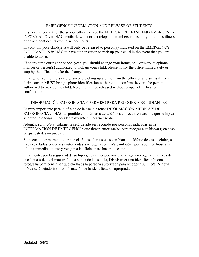#### EMERGENCY INFORMATION AND RELEASE OF STUDENTS

It is very important for the school office to have the MEDICAL RELEASE AND EMERGENCY INFORMATION in HAC available with correct telephone numbers in case of your child's illness or an accident occurs during school hours.

In addition, your child(ren) will only be released to person(s) indicated on the EMERGENCY INFORMATION in HAC to have authorization to pick up your child in the event that you are unable to do so.

If at any time during the school year, you should change your home, cell, or work telephone number or person(s) authorized to pick up your child, please notify the office immediately or stop by the office to make the changes.

Finally, for your child's safety, anyone picking up a child from the office or at dismissal from their teacher, MUST bring a photo identification with them to confirm they are the person authorized to pick up the child. No child will be released without proper identification confirmation.

## INFORMACIÓN EMERGENCIA Y PERMISO PARA RECOGER A ESTUDIANTES

Es muy importante para la oficina de la escuela tener INFORMACIÓN MÉDICA Y DE EMERGENCIA en HAC disponible con números de teléfonos correctos en caso de que su hijo/a se enferme o tenga un accidente durante el horario escolar.

Además, su hijo/a(s) solamente será dejado ser recogido por personas indicadas en la INFORMACIÓN DE EMERGENCIA que tienen autorización para recoger a su hijo/a(s) en caso de que ustedes no puedan.

Si en cualquier momento durante el año escolar, ustedes cambian su teléfono de casa, celular, o trabajo, o la/las persona(s) autorizadas a recoger a su hijo/a cambia(n), por favor notifique a la oficina inmediatamente y vengan a la oficina para hacer los cambios.

Finalmente, por la seguridad de su hijo/a, cualquier persona que venga a recoger a un niño/a de la oficina o de la/el maestro/o a la salida de la escuela, DEBE traer una identificación con fotografía para confirmar que él/ella es la persona autorizada para recoger a su hijo/a. Ningún niño/a será dejado ir sin confirmación de la identificación apropiada.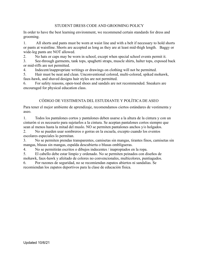## STUDENT DRESS CODE AND GROOMING POLICY

In order to have the best learning environment, we recommend certain standards for dress and grooming.

1. All shorts and pants must be worn at waist line and with a belt if necessary to hold shorts or pants at waistline. Shorts are accepted as long as they are at least mid-thigh length. Baggy or wide-leg pants are NOT allowed.

2. No hats or caps may be worn in school, except when special school events permit it.

3. See-through garments, tank tops, spaghetti straps, muscle shirts, halter tops, exposed back or mid-riffs are not permitted.

4. Indecent/inappropriate writings or drawings on clothing will not be permitted.

5. Hair must be neat and clean. Unconventional colored, multi-colored, spiked mohawk, faux-hawk, and shaved designs hair styles are not permitted.

6. For safety reasons, open-toed shoes and sandals are not recommended. Sneakers are encouraged for physical education class.

## CÓDIGO DE VESTIMENTA DEL ESTUDIANTE Y POLÍTICA DE ASEO

Para tener el mejor ambiente de aprendizaje, recomendamos ciertos estándares de vestimenta y aseo.

1. Todos los pantalones cortos y pantalones deben usarse a la altura de la cintura y con un cinturón si es necesario para sujetarlos a la cintura. Se aceptan pantalones cortos siempre que sean al menos hasta la mitad del muslo. NO se permiten pantalones anchos y/o holgados.

2. No se pueden usar sombreros o gorras en la escuela, excepto cuando los eventos escolares especiales lo permitan.

3. No se permiten prendas transparentes, camisetas sin mangas, tirantes finos, camisetas sin mangas, blusas sin mangas, espalda descubierta o blusas ombligueras.

4. No se permitirán escritos o dibujos indecentes / inapropiados en la ropa.

5. El cabello debe estar limpio y ordenado. No se permiten peinados con diseños de mohawk, faux-hawk y afeitado de colores no convencionales, multicolores, puntiagudos.

6. Por razones de seguridad, no se recomiendan zapatos abiertos ni sandalias. Se recomiendan los zapatos deportivos para la clase de educación física.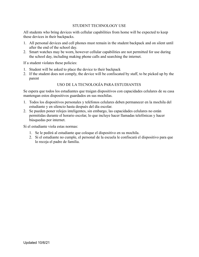#### STUDENT TECHNOLOGY USE

All students who bring devices with cellular capabilities from home will be expected to keep these devices in their backpacks.

- 1. All personal devices and cell phones must remain in the student backpack and on silent until after the end of the school day.
- 2. Smart watches may be worn, however cellular capabilities are not permitted for use during the school day, including making phone calls and searching the internet.

If a student violates these policies:

- 1. Student will be asked to place the device to their backpack
- 2. If the student does not comply, the device will be confiscated by staff, to be picked up by the parent

#### USO DE LA TECNOLOGÍA PARA ESTUDIANTES

Se espera que todos los estudiantes que traigan dispositivos con capacidades celulares de su casa mantengan estos dispositivos guardados en sus mochilas.

- 1. Todos los dispositivos personales y teléfonos celulares deben permanecer en la mochila del estudiante y en silencio hasta después del día escolar.
- 2. Se pueden poner relojes inteligentes, sin embargo, las capacidades celulares no están permitidas durante el horario escolar, lo que incluye hacer llamadas telefónicas y hacer búsquedas por internet.

Si el estudiante viola estas normas:

- 1. Se le pedirá al estudiante que coloque el dispositivo en su mochila.
- 2. Si el estudiante no cumple, el personal de la escuela le confiscará el dispositivo para que lo recoja el padre de familia.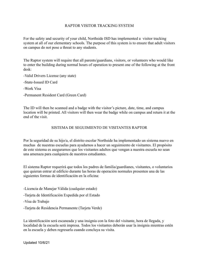#### RAPTOR VISITOR TRACKING SYSTEM

For the safety and security of your child, Northside ISD has implemented a visitor tracking system at all of our elementary schools. The purpose of this system is to ensure that adult visitors on campus do not pose a threat to any students.

The Raptor system will require that all parents/guardians, visitors, or volunteers who would like to enter the building during normal hours of operation to present one of the following at the front desk:

-Valid Drivers License (any state)

-State-Issued ID Card

-Work Visa

-Permanent Resident Card (Green Card)

The ID will then be scanned and a badge with the visitor's picture, date, time, and campus location will be printed. All visitors will then wear the badge while on campus and return it at the end of the visit.

#### SISTEMA DE SEGUIMIENTO DE VISITANTES RAPTOR

Por la seguridad de su hijo/a, el distrito escolar Northside ha implementado un sistema nuevo en muchas de nuestras escuelas para ayudarnos a hacer un seguimiento de visitantes. El propósito de este sistema es asegurarnos que los visitantes adultos que vengan a nuestra escuela no sean una amenaza para cualquiera de nuestros estudiantes.

El sistema Raptor requerirá que todos los padres de familia/guardianes, visitantes, o voluntarios que quieran entrar al edificio durante las horas de operación normales presenten una de las siguientes formas de identificación en la oficina:

-Licencia de Manejar Válida (cualquier estado)

-Tarjeta de Identificación Expedida por el Estado

-Visa de Trabajo

-Tarjeta de Residencia Permanente (Tarjeta Verde)

La identificación será escaneada y una insignia con la foto del visitante, hora de llegada, y localidad de la escuela será impresa. Todos los visitantes deberán usar la insignia mientras estén en la escuela y deben regresarla cuando concluya su visita.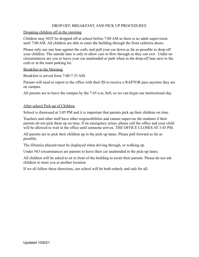#### DROP OFF, BREAKFAST, AND PICK UP PROCEDURES

#### Dropping children off in the morning

Children may NOT be dropped off at school before 7:00 AM as there is no adult supervision until 7:00 AM. All children are able to enter the building through the front cafeteria doors.

Please only use one lane against the curb, and pull your car down as far as possible to drop-off your children. The outside lane is only to allow cars to flow through so they can exit. Under no circumstances are you to leave your car unattended or park when in the drop-off lane next to the curb or in the main parking lot.

#### Breakfast in the Morning

Breakfast is served from 7:00-7:35 AM.

Parents will need to report to the office with their ID to receive a RAPTOR pass anytime they are on campus.

All parents are to leave the campus by the 7:45 a.m. bell, so we can begin our instructional day.

#### After school Pick-up of Children

School is dismissed at 3:05 PM and it is important that parents pick up their children on time.

Teachers and other staff have other responsibilities and cannot supervise the students if their parents do not pick them up on time. If an emergency arises, please call the office and your child will be allowed to wait in the office until someone arrives. THE OFFICE CLOSES AT 3:45 PM.

All parents are to pick their children up in the pick-up lanes. Please pull forward as far as possible.

The iDismiss placard must be displayed when driving through, or walking up.

Under NO circumstances are parents to leave their car unattended in the pick-up lanes.

All children will be asked to sit in front of the building to await their parents. Please do not ask children to meet you at another location.

If we all follow these directions, our school will be both orderly and safe for all.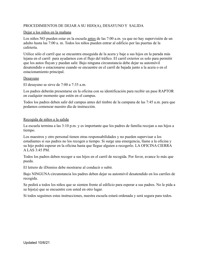## PROCEDIMIENTOS DE DEJAR A SU HIJO(A), DESAYUNO Y SALIDA

#### Dejar a los niños en la mañana

Los niños NO pueden estar en la escuela antes de las 7:00 a.m. ya que no hay supervisión de un adulto hasta las 7:00 a. m. Todos los niños pueden entrar al edificio por las puertas de la cafetería.

Utilice sólo el carril que se encuentra enseguida de la acera y baje a sus hijos en la parada más lejana en el carril para ayudarnos con el flujo del tráfico. El carril exterior es solo para permitir que los autos fluyan y puedan salir. Bajo ninguna circunstancia debe dejar su automóvil desatendido o estacionarse cuando se encuentre en el carril de bajada junto a la acera o en el estacionamiento principal.

#### **Desayuno**

El desayuno se sirve de 7:00 a 7:35 a.m.

Los padres deberán presentarse en la oficina con su identificación para recibir un pase RAPTOR en cualquier momento que estén en el campus.

Todos los padres deben salir del campus antes del timbre de la campana de las 7:45 a.m. para que podamos comenzar nuestro día de instrucción.

#### Recogida de niños a la salida

La escuela termina a las 3:10 p.m. y es importante que los padres de familia recojan a sus hijos a tiempo.

Los maestros y otro personal tienen otras responsabilidades y no pueden supervisar a los estudiantes si sus padres no los recogen a tiempo. Si surge una emergencia, llame a la oficina y su hijo podrá esperar en la oficina hasta que llegue alguien a recogerlo. LA OFICINA CIERRA A LAS 3:45 PM.

Todos los padres deben recoger a sus hijos en el carril de recogida. Por favor, avance lo más que pueda.

El letrero de iDismiss debe mostrarse al conducir o subir.

Bajo NINGUNA circunstancia los padres deben dejar su automóvil desatendido en los carriles de recogida.

Se pedirá a todos los niños que se sienten frente al edificio para esperar a sus padres. No le pida a su hijo(a) que se encuentre con usted en otro lugar.

Si todos seguimos estas instrucciones, nuestra escuela estará ordenada y será segura para todos.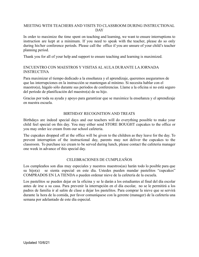#### MEETING WITH TEACHERS AND VISITS TO CLASSROOM DURING INSTRUCTIONAL **DAY**

In order to maximize the time spent on teaching and learning, we want to ensure interruptions to instruction are kept at a minimum. If you need to speak with the teacher, please do so only during his/her conference periods. Please call the office if you are unsure of your child's teacher planning period.

Thank you for all of your help and support to ensure teaching and learning is maximized.

## ENCUENTRO CON MAESTROS Y VISITAS AL AULA DURANTE LA JORNADA INSTRUCTIVA

Para maximizar el tiempo dedicado a la enseñanza y el aprendizaje, queremos asegurarnos de que las interrupciones en la instrucción se mantengan al mínimo. Si necesita hablar con el maestro(a), hágalo sólo durante sus períodos de conferencias. Llame a la oficina si no está seguro del período de planificación del maestro(a) de su hijo.

Gracias por toda su ayuda y apoyo para garantizar que se maximice la enseñanza y el aprendizaje en nuestra escuela.

#### BIRTHDAY RECOGNITION AND TREATS

Birthdays are indeed special days and our teachers will do everything possible to make your child feel special on this day. You may either send STORE BOUGHT cupcakes to the office or you may order ice cream from our school cafeteria.

The cupcakes dropped off at the office will be given to the children as they leave for the day. To prevent interruption of the instructional day, parents may not deliver the cupcakes to the classroom. To purchase ice cream to be served during lunch, please contact the cafeteria manager one week in advance of this special day.

#### CELEBRACIONES DE CUMPLEAÑOS

Los cumpleaños son días muy especiales y nuestros maestros(as) harán todo lo posible para que su hijo(a) se sienta especial en este día. Ustedes pueden mandar pastelitos "cupcakes" COMPRADOS EN LA TIENDA o pueden ordenar nieve de la cafetería de la escuela.

Los pastelitos se pueden dejar en la oficina y se le darán a los estudiantes al final del día escolar antes de irse a su casa. Para prevenir la interrupción en el día escolar, no se le permitirá a los padres de familia ir al salón de clase a dejar los pastelitos. Para comprar la nieve que se servirá durante la hora de la comida, por favor comuníquese con la gerente (manager) de la cafetería una semana por adelantado de este día especial.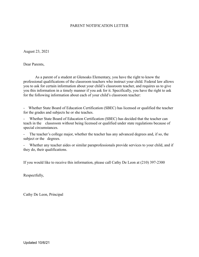#### PARENT NOTIFICATION LETTER

August 23, 2021

Dear Parents,

As a parent of a student at Glenoaks Elementary, you have the right to know the professional qualifications of the classroom teachers who instruct your child. Federal law allows you to ask for certain information about your child's classroom teacher, and requires us to give you this information in a timely manner if you ask for it. Specifically, you have the right to ask for the following information about each of your child's classroom teacher:

- Whether State Board of Education Certification (SBEC) has licensed or qualified the teacher for the grades and subjects he or she teaches.

Whether State Board of Education Certification (SBEC) has decided that the teacher can teach in the classroom without being licensed or qualified under state regulations because of special circumstances.

The teacher's college major, whether the teacher has any advanced degrees and, if so, the subject or the degrees.

Whether any teacher aides or similar paraprofessionals provide services to your child, and if they do, their qualifications.

If you would like to receive this information, please call Cathy De Leon at (210) 397-2300

Respectfully,

Cathy De Leon, Principal